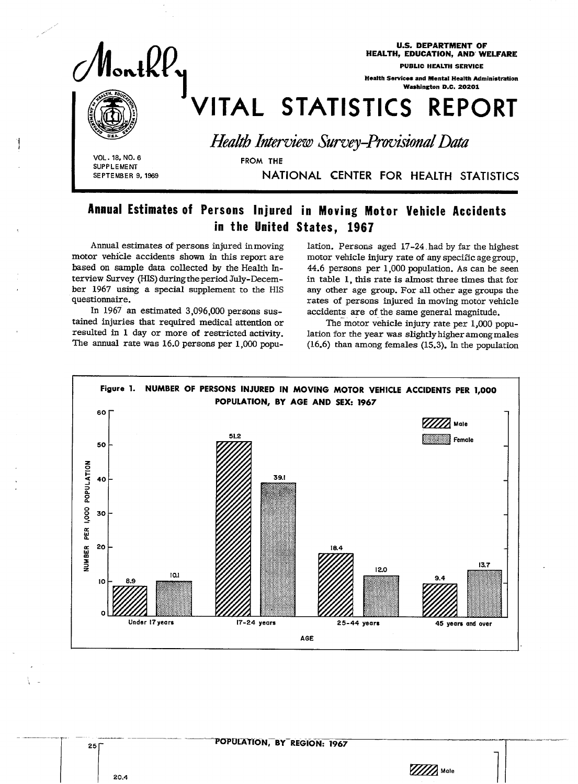

U.S. DEPARTMENT OF HEALTH, EDUCATION, AND WELFARE

PUBLIC HEALTH SERVICE

Health Services and Mental Health Ministration Washington D.C. 20201

# VITAL STATISTICS REPORT<br>Health Interview Survey-Provisional Data

Health Interview Survey-Provisional Data

SUPPLEMENT<br>**SEPTEMBER 9, 1969** 

NATIONAL CENTER FOR HEALTH STATISTICS

# Annual Estimates of Persons Injured in Moving Motor Vehicle Accidents in the United States, 1967

FROM THE

Annual estimates of persons injured in moving motor vehicle accidents shown in this report are based on sample data collected by the Health Interview Survey (HIS) during the period July-December 1967 using a special supplement to the HIS questionnaire.

In 1967 an estimated 3,096,000 persons sustained injuries that required medical attention or resulted in 1 day or more of restricted activity. The annual rate was 16.0 persons per 1,000 popuIation. Persons aged 17-24. had by far the highest motor vehicle injury rate of any specific age group, 44.6 persons per 1,000 population. As can be seen in table 1, this rate is almost three times that for any other age group. For all other age groups the rates of persons injured in moving motor vehicle accidents are of the same general magnitude.

The motor vehicle injury rate per 1,000 population for the year was slightly higher among males (16.6) than among females (15.3). In the population



 $\frac{1}{20.4}$  Male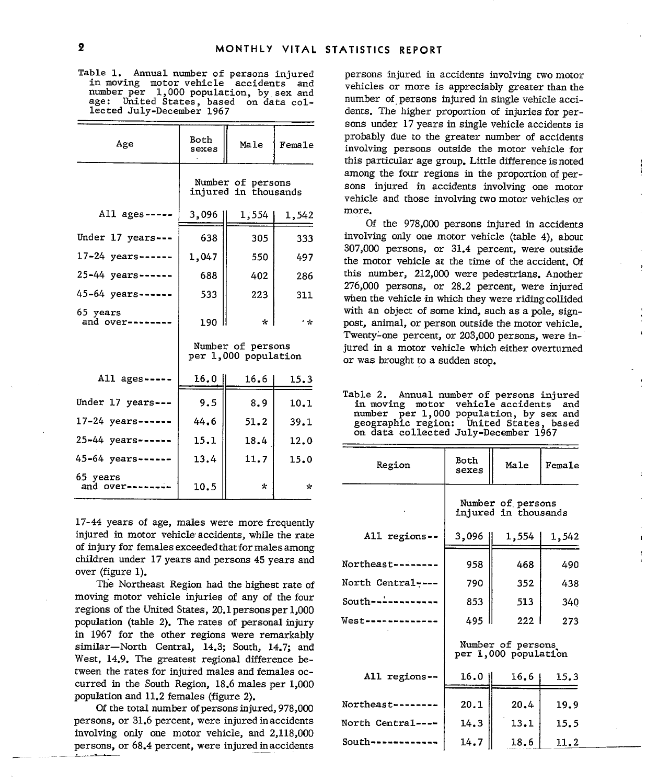Table 1. Annual number of persons injured persons injured in accidents involving two motor<br>in moving motor vehicle accidents and vehicles or more is appreciably greater than the number per 1,000 population, by sex and

|                             |                   |                                           |               | sons under 1/years in single vehicle accidents is                                                                                                            |
|-----------------------------|-------------------|-------------------------------------------|---------------|--------------------------------------------------------------------------------------------------------------------------------------------------------------|
| Age                         | Both<br>sexes     | Male                                      | Female        | probably due to the greater number of accidents<br>involving persons outside the motor vehicle for<br>this particular age group. Little difference is noted  |
|                             |                   | Number of persons<br>injured in thousands |               | among the four regions in the proportion of per-<br>sons injured in accidents involving one motor<br>vehicle and those involving two motor vehicles or       |
| All ages -----              | 3,096             | 1,554                                     | 1,542         | more.<br>Of the 978,000 persons injured in accidents                                                                                                         |
| Under 17 years ---          | 638               | 305                                       | 333           | involving only one motor vehicle (table 4), about                                                                                                            |
| $17 - 24$ years------       | 1,047             | 550                                       | 497           | 307,000 persons, or 31.4 percent, were outside<br>the motor vehicle at the time of the accident. Of                                                          |
| 25-44 years------           | 688               | 402                                       | 286           | this number, 212,000 were pedestrians. Another                                                                                                               |
| $45 - 64$ years ------      | 533               | 223                                       | 311           | 276,000 persons, or 28.2 percent, were injured<br>when the vehicle in which they were riding collided                                                        |
| 65 years<br>and over------- | $190$ $\parallel$ | $\mathbf{x}$                              | $\sim$ $\sim$ | with an object of some kind, such as a pole, sign-<br>post, animal, or person outside the motor vehicle.<br>Twenty-one percent, or 203,000 persons, were in- |
|                             |                   | Number of persons<br>per 1,000 population |               | jured in a motor vehicle which either overturned<br>or was brought to a sudden stop.                                                                         |
| All $ages$ -----            | 16.0              | 16.6                                      | 15.3          |                                                                                                                                                              |
| Under 17 years ---          | 9.5               | 8.9                                       | 10.1          | Table 2. Annual number of persons injured<br>in moving motor vehicle accidents and                                                                           |
| $17 - 24$ years------       | 44.6              | 51.2                                      | 39.1          | number per 1,000 population, by sex and<br>geographic region: United States, based                                                                           |
| $25 - 44$ years ------      | 15.1              | 18.4                                      | 12.0          | on data collected July-December 1967                                                                                                                         |
| 45-64 years------           | 13.4              | 11.7                                      | 15.0          | Both<br>Region<br>Male<br>Female                                                                                                                             |
| 65 years<br>and over------- | 10.5              | $\star$                                   | $\mathbf{r}$  | sexes                                                                                                                                                        |

17-44 years of age, males were more frequently injured in motor vehicle accidents, while the rate of injury for females exceeded that for males among children under 17 years and persons 45 years and over (figure 1).

The Northeast Region had the highest rate of moving motor vehicle injuries of any of the four regions of the United States,  $20.1$  persons per  $1,000$ population (table 2). The rates of personal injury in 1967 for the other regions were remarkably similar-North Central, 14.3; South, 14.7; and West, 14.9. The greatest regional difference between the rates for injured males and females occurred in the South Region,  $18.6$  males per  $1,000$ population and 11.2 females (figure 2).

Of the total number of persons injured, 978,000 persons, or 31.6 percent, were injured in accidents  $N_{\text{R}}$ involving only one motor vehicle, and 2,118,000 persons, or 68.4 percent, were injured inaccidents

vehicles or more is appreciably greater than the and the states, based on data col-<br>age: United States, based on data col-<br>lected July-December 1967 dents. The higher proportion of injuries for perdents. The higher proportion of injuries for persons under 17years in single vehicle accidents is probably due to the greater number of accidents involving persons outside the motor vehicle for this particular age group. Little difference is noted among the four regions in the proportion of persons injured in accidents involving one motor vehicle and those involving two motor vehicles or more.

number per 1,000 population, by sex and on data collected region: July-December United States, sex and<br>s, based<br>1967

| 77 years                                                                                                                                         | .    | ---     | 14.U          |                   |                |                                           |        |
|--------------------------------------------------------------------------------------------------------------------------------------------------|------|---------|---------------|-------------------|----------------|-------------------------------------------|--------|
| 64 years------                                                                                                                                   | 13.4 | 11.7    | 15.0          | Region            | Both<br>sexes  | Male                                      | Female |
| vears<br>d over--------                                                                                                                          | 10.5 | $\star$ | $\mathcal{R}$ |                   |                |                                           |        |
|                                                                                                                                                  |      |         |               |                   |                | Number of persons<br>injured in thousands |        |
| 44 years of age, males were more frequently<br>red in motor vehicle accidents, while the rate<br>njury for females exceeded that for males among |      |         |               | All regions--     | 3,096          | 1,554                                     | 1,542  |
| dren under 17 years and persons 45 years and<br>r (figure 1).                                                                                    |      |         |               | Northeast-------- | 958            | 468                                       | 490    |
| The Northeast Region had the highest rate of                                                                                                     |      |         |               | North Central---- | 790            | 352                                       | 438    |
| ing motor vehicle injuries of any of the four<br>ions of the United States, 20.1 persons per 1,000                                               |      |         |               | South-----------  | 853            | 513                                       | 340    |
| ilation (table 2). The rates of personal injury                                                                                                  |      |         |               | $West$ ---------- | 495            | 222                                       | 273    |
| 1967 for the other regions were remarkably<br>ilar—North Central, 14.3; South, 14.7; and<br>t, 14.9. The greatest regional difference be-        |      |         |               |                   |                | Number of persons<br>per 1,000 population |        |
| en the rates for injured males and females oc-<br>red in the South Region, 18.6 males per 1,000                                                  |      |         |               | All regions--     | $16.0 \dagger$ | 16.6                                      | 15.3   |
| ilation and 11.2 females (figure 2).<br>Of the total number of persons injured, 978,000                                                          |      |         |               | Northeast -----   | 20.1           | 20.4                                      | 19.9   |
| sons, or 31.6 percent, were injured in accidents                                                                                                 |      |         |               | North Central---- | 14.3           | 13.1                                      | 15.5   |
| lving only one motor vehicle, and 2,118,000<br>cons, or 68.4 percent, were injured in accidents                                                  |      |         |               | South------------ | 14.7           | 18.6                                      | 11.2   |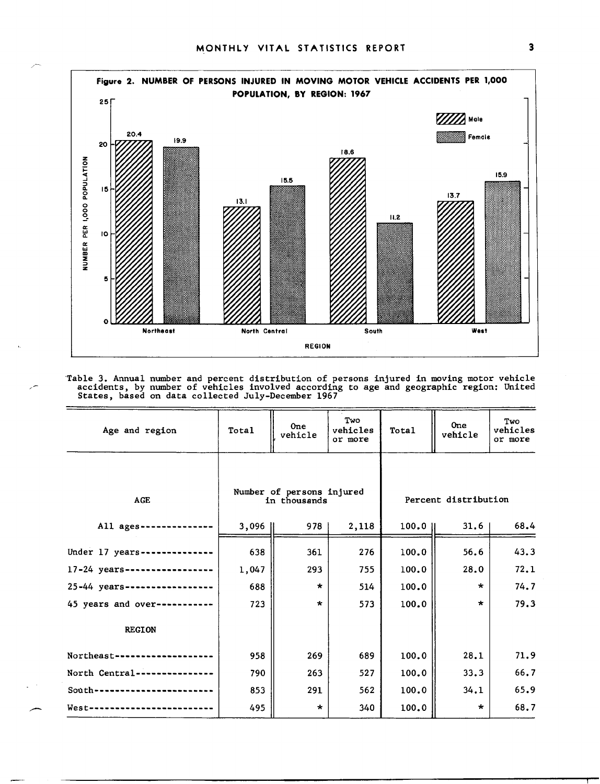,-



Table 3. Annual number and percent distribution of persons injured in moving motor vehicle<br>accidents, by number of vehicles involved according to age and geographic region: United<br>States, based on data collected July-Decem

| Age and region                | Total | <b>One</b><br>vehicle                     | Two<br>vehicles<br>or more | Total  | <b>One</b><br>vehicle | Two<br>vehicles<br>or more |
|-------------------------------|-------|-------------------------------------------|----------------------------|--------|-----------------------|----------------------------|
| AGE                           |       | Number of persons injured<br>in thousands |                            |        | Percent distribution  |                            |
| All ages ----------           | 3,096 | 978                                       | 2,118                      | 100.01 | 31.6                  | 68.4                       |
| Under $17$ years-----------   | 638   | 361                                       | 276                        | 100.0  | 56.6                  | 43.3                       |
| 17-24 years------------------ | 1,047 | 293                                       | 755                        | 100.0  | 28.0                  | 72.1                       |
| 25-44 years------------------ | 688   | $\star$                                   | 514                        | 100.0  | $\star$               | 74.7                       |
| 45 years and over-----------  | 723   | $\star$                                   | 573                        | 100.0  | $\star$               | 79.3                       |
| <b>REGION</b>                 |       |                                           |                            |        |                       |                            |
| Northeast-----------------    | 958   | 269                                       | 689                        | 100.0  | 28.1                  | 71.9                       |
| North Central---------------  | 790   | 263                                       | 527                        | 100.0  | 33.3                  | 66.7                       |
| $South$ --------------------  | 853   | 291                                       | 562                        | 100.0  | 34.1                  | 65.9                       |
| West-----------------------   | 495   | $\star$                                   | 340                        | 100.0  | $\star$               | 68.7                       |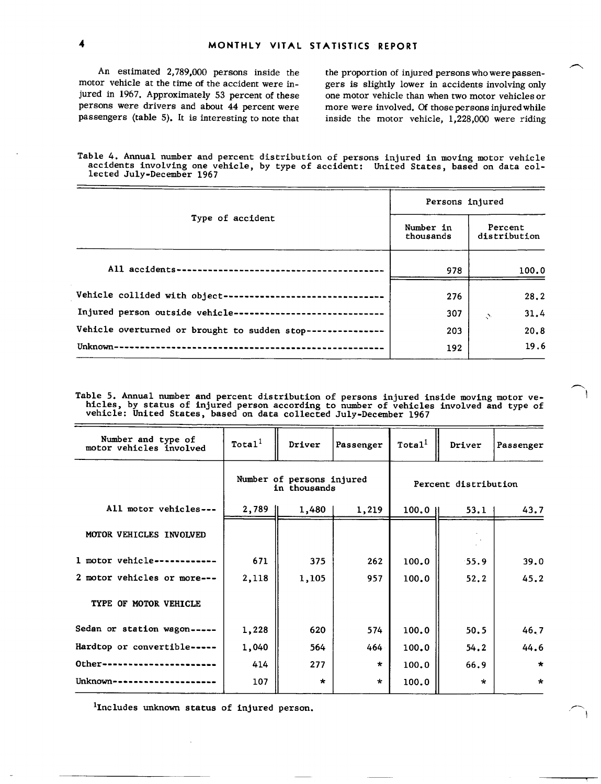An estimated 2,789,000 persons inside the motor vehicle at the time of the accident were injured in 1967. Approximately 53 percent of these persons were drivers and about 44 percent were passengers (table 5). It is interesting to note that

the proportion of injured persons who were passengers is slightly lower in accidents involving only one motor vehicle than when two motor vehicles.or more were involved. Of thosepersons injured while inside the motor vehicle,  $1,228,000$  were riding

Table 4. Annual number and percent distribution of persons injured in moving motor vehicle accidents involving one vehicle, **by type** of accident: United States, based on data col lected July-December 1967

|                                                              | Persons injured        |                         |  |  |
|--------------------------------------------------------------|------------------------|-------------------------|--|--|
| Type of accident                                             | Number in<br>thousands | Percent<br>distribution |  |  |
|                                                              | 978                    | 100.0                   |  |  |
| Vehicle collided with object-------------------------------- | 276                    | 28.2                    |  |  |
| Injured person outside vehicle-----------------------------  | 307                    | 31.4<br>N,              |  |  |
| Vehicle overturned or brought to sudden stop---------------  | 203                    | 20.8                    |  |  |
|                                                              | 192                    | 19.6                    |  |  |

Table 5. Annual number and percent distribution of persons injured inside moving motor ve-<br>hicles, by status of injured person according to number of vehicles involved and type of<br>vehicle: United States, based on data coll

| Number and type of<br>motor vehicles involved | Total <sup>1</sup>                        | Driver  | Passenger | Total <sup>1</sup>   | Driver  | Passenger |
|-----------------------------------------------|-------------------------------------------|---------|-----------|----------------------|---------|-----------|
|                                               | Number of persons injured<br>in thousands |         |           | Percent distribution |         |           |
| All motor vehicles ---                        | $2,789$                                   | 1,480   | 1,219     | 100.0                | 53.1    | 43.7      |
| MOTOR VEHICLES INVOLVED                       |                                           |         |           |                      |         |           |
| 1 motor vehicle------------                   | 671                                       | 375     | 262       | 100.0                | 55.9    | 39.0      |
| 2 motor vehicles or more---                   | 2,118                                     | 1,105   | 957       | 100.0                | 52.2    | 45.2      |
| TYPE OF MOTOR VEHICLE                         |                                           |         |           |                      |         |           |
| Sedan or station wagon-----                   | 1,228                                     | 620     | 574       | 100.0                | 50.5    | 46.7      |
| Hardtop or convertible-----                   | 1,040                                     | 564     | $464 -$   | 100.0                | 54.2    | 44.6      |
| Other-----------------------                  | 414                                       | 277     | $\star$   | 100.0                | 66.9    | $\star$   |
| Unknown---------------------                  | 107                                       | $\star$ | $\star$   | 100.0                | $\star$ | $\star$   |

<sup>1</sup>Includes unknown status of injured person.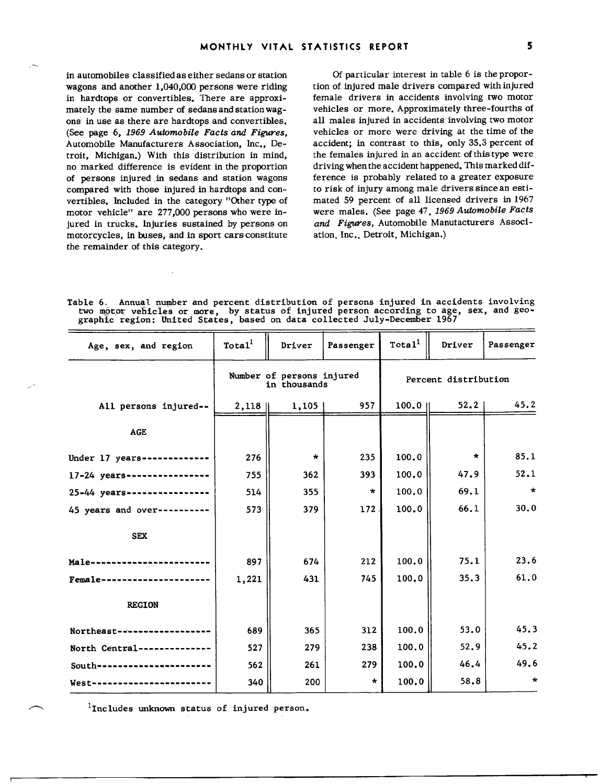in automobiles classified as either sedans or station wagons and another 1,040,000 persons were riding in hardtops or convertibles. There are approximately the same number of sedans and station wagons in use as there are hardtops and convertibles. (See page 6, 1969 *Automobile Facts and Figures,*  Automobile Manufacturers Association, Inc., Detroit, Michigan.) With this distribution in mind, no marked difference is evident in the proportion of persons injured .in sedans and station wagons compared with those injured in hardtops and convertibles. Included in the category "Other type of motor vehicle" are 277,000 persons who were injured in trucks. Injuries sustained by persons on motorcycles, in buses, and in sport cars constitute the remainder of this category.

Of particular interest in table 6 is the proportion of injured male drivers compared with injured female drivers in accidents involving two motor vehicles or more. Approximately three-fourths of all males injured in accidents involving two motor vehicles or more were driving at the time of the accident; in contrast to this, only 35.3 percent of the females injured in an accident of this type were driving when the accident happened. This marked difference is probably related to a greater exposure to risk of injury among male drivers since an estimated 59 percent of all licensed drivers in 1967 were males. (See page 47, 1969 *Automobile Facts*  and Figures, Automobile Manutacturers Association, Inc., Detroit, Michigan.)

Table 6, Annual number and percent distribution of persons injured in accidents involving two motor vehicles or more, by status of injured person according to age, sex, and geographic region: United States, based on data collected July-December 1967

| Age, sex, and region                     | Total <sup>1</sup>                        | Driver  | Passenger | Total <sup>1</sup> | Driver  | Passenger            |
|------------------------------------------|-------------------------------------------|---------|-----------|--------------------|---------|----------------------|
|                                          | Number of persons injured<br>in thousands |         |           |                    |         | Percent distribution |
| All persons injured--                    | 2,118                                     | 1,105   | 957       | 100.0 ll           | 52.2    | 45.2                 |
| <b>AGE</b>                               |                                           |         |           |                    |         |                      |
| Under 17 years-------------              | 276                                       | $\star$ | 235       | 100.0              | $\star$ | 85.1                 |
| 17-24 years---------------               | 755                                       | 362     | 393       | 100.0              | 47.9    | 52.1                 |
| 25-44 years ----------------             | 514                                       | 355     | $\star$   | 100.0              | 69.1    | $\star$              |
| 45 years and over----------              | 573                                       | 379     | 172       | 100.0              | 66.1    | 30.0                 |
| <b>SEX</b>                               |                                           |         |           |                    |         |                      |
| Male--------------                       | 897                                       | 674     | 212       | 100.0              | 75.1    | 23.6                 |
| Female-----                              | 1,221                                     | 431     | 745       | 100.0              | 35.3    | 61.0                 |
| <b>REGION</b>                            |                                           |         |           |                    |         |                      |
| Northeast-----------                     | 689                                       | 365     | 312       | 100.0              | 53.0    | 45.3                 |
| North Central-------                     | 527                                       | 279     | 238       | 100.0              | 52.9    | 45.2                 |
| $South \rightarrow \cdots \cdots \cdots$ | 562                                       | 261     | 279       | 100.0              | 46.4    | 49.6                 |
| West---------------------                | 340                                       | 200     | $\star$   | 100.0              | 58.8    | $\star$              |

 $1$ Includes unknown status of injured person.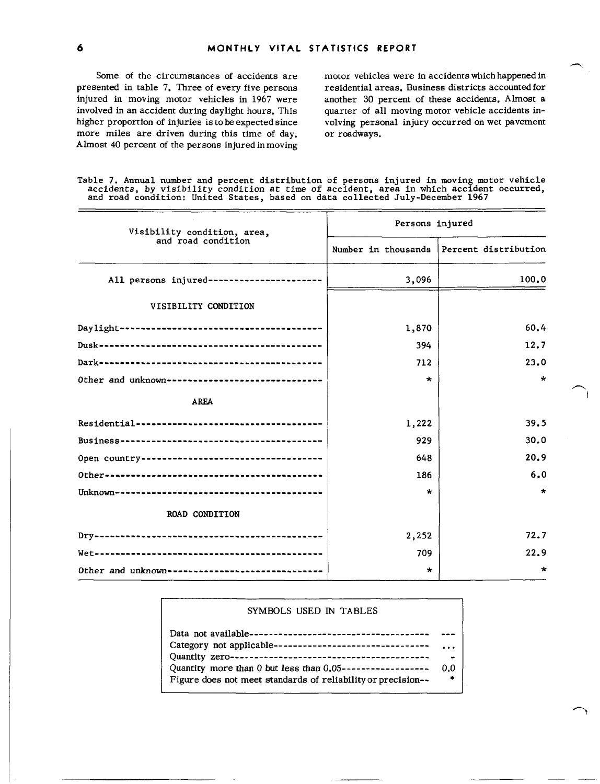Some of the circumstances of accidents are presented in table 7. Three of every five persons injured in moving motor vehicles in 1967 were involved in an accident during daylight hours. This higher proportion of injuries is to be expected since more miles are driven during this time of day. Almost 40 percent of the persons injured in moving

I

motor vehicles were in accidents which happened in residential areas. Business districts accounted for another 30 percent of these accidents. Almost a quarter of all moving motor vehicle accidents involving personal injury occurred on wet pavement or roadways.

-)

Table 7. Annual number and percent distribution of persons injured in moving motor vehicle accidents, **by visibility condition at time of accident , area in which accident occurred, and road condition: United States, based on data collected July-December 1967** 

| Visibility condition, area,                      | Persons injured     |                      |  |  |  |
|--------------------------------------------------|---------------------|----------------------|--|--|--|
| and road condition                               | Number in thousands | Percent distribution |  |  |  |
| All persons injured-----------------------       | 3,096               | 100.0                |  |  |  |
| VISIBILITY CONDITION                             |                     |                      |  |  |  |
|                                                  | 1,870               | 60.4                 |  |  |  |
|                                                  | 394                 | 12.7                 |  |  |  |
|                                                  | 712                 | 23.0                 |  |  |  |
| Other and unknown------------------------------- | $\star$             | $\star$              |  |  |  |
| <b>AREA</b>                                      |                     |                      |  |  |  |
|                                                  | 1,222               | 39.5                 |  |  |  |
|                                                  | 929                 | 30.0                 |  |  |  |
|                                                  | 648                 | 20.9                 |  |  |  |
|                                                  | 186                 | 6.0                  |  |  |  |
|                                                  | $\star$             | $\star$              |  |  |  |
| <b>ROAD CONDITION</b>                            |                     |                      |  |  |  |
|                                                  | 2,252               | 72.7                 |  |  |  |
|                                                  | 709                 | 22.9                 |  |  |  |
| Other and unknown---------------------------     | *                   | $\star$              |  |  |  |

### SYMBOLS USED IN TABLES

| $\cdots$ |
|----------|
| $\sim$   |
| 0.0      |
| *        |
|          |